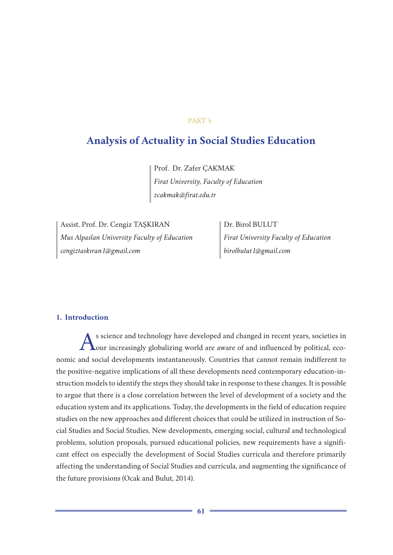### PART 5

# **Analysis of Actuality in Social Studies Education**

Prof. Dr. Zafer ÇAKMAK *Firat University, Faculty of Education zcakmak@firat.edu.tr*

Assist. Prof. Dr. Cengiz TAŞKIRAN *Mus Alpaslan University Faculty of Education cengiztaskıran1@gmail.com*

Dr. Birol BULUT *Firat University Faculty of Education birolbulut1@gmail.com*

### **1. Introduction**

S science and technology have developed and changed in recent years, societies in **L**our increasingly globalizing world are aware of and influenced by political, economic and social developments instantaneously. Countries that cannot remain indifferent to the positive-negative implications of all these developments need contemporary education-instruction models to identify the steps they should take in response to these changes. It is possible to argue that there is a close correlation between the level of development of a society and the education system and its applications. Today, the developments in the field of education require studies on the new approaches and different choices that could be utilized in instruction of Social Studies and Social Studies. New developments, emerging social, cultural and technological problems, solution proposals, pursued educational policies, new requirements have a significant effect on especially the development of Social Studies curricula and therefore primarily affecting the understanding of Social Studies and curricula, and augmenting the significance of the future provisions (Ocak and Bulut, 2014).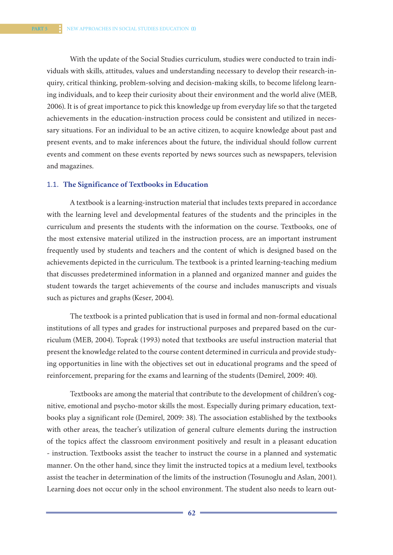With the update of the Social Studies curriculum, studies were conducted to train individuals with skills, attitudes, values and understanding necessary to develop their research-inquiry, critical thinking, problem-solving and decision-making skills, to become lifelong learning individuals, and to keep their curiosity about their environment and the world alive (MEB, 2006). It is of great importance to pick this knowledge up from everyday life so that the targeted achievements in the education-instruction process could be consistent and utilized in necessary situations. For an individual to be an active citizen, to acquire knowledge about past and present events, and to make inferences about the future, the individual should follow current events and comment on these events reported by news sources such as newspapers, television and magazines.

### 1.1. **The Significance of Textbooks in Education**

A textbook is a learning-instruction material that includes texts prepared in accordance with the learning level and developmental features of the students and the principles in the curriculum and presents the students with the information on the course. Textbooks, one of the most extensive material utilized in the instruction process, are an important instrument frequently used by students and teachers and the content of which is designed based on the achievements depicted in the curriculum. The textbook is a printed learning-teaching medium that discusses predetermined information in a planned and organized manner and guides the student towards the target achievements of the course and includes manuscripts and visuals such as pictures and graphs (Keser, 2004).

The textbook is a printed publication that is used in formal and non-formal educational institutions of all types and grades for instructional purposes and prepared based on the curriculum (MEB, 2004). Toprak (1993) noted that textbooks are useful instruction material that present the knowledge related to the course content determined in curricula and provide studying opportunities in line with the objectives set out in educational programs and the speed of reinforcement, preparing for the exams and learning of the students (Demirel, 2009: 40).

Textbooks are among the material that contribute to the development of children's cognitive, emotional and psycho-motor skills the most. Especially during primary education, textbooks play a significant role (Demirel, 2009: 38). The association established by the textbooks with other areas, the teacher's utilization of general culture elements during the instruction of the topics affect the classroom environment positively and result in a pleasant education - instruction. Textbooks assist the teacher to instruct the course in a planned and systematic manner. On the other hand, since they limit the instructed topics at a medium level, textbooks assist the teacher in determination of the limits of the instruction (Tosunoglu and Aslan, 2001). Learning does not occur only in the school environment. The student also needs to learn out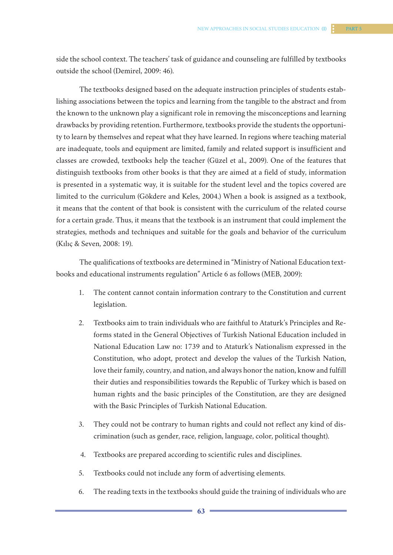side the school context. The teachers' task of guidance and counseling are fulfilled by textbooks outside the school (Demirel, 2009: 46).

The textbooks designed based on the adequate instruction principles of students establishing associations between the topics and learning from the tangible to the abstract and from the known to the unknown play a significant role in removing the misconceptions and learning drawbacks by providing retention. Furthermore, textbooks provide the students the opportunity to learn by themselves and repeat what they have learned. In regions where teaching material are inadequate, tools and equipment are limited, family and related support is insufficient and classes are crowded, textbooks help the teacher (Güzel et al., 2009). One of the features that distinguish textbooks from other books is that they are aimed at a field of study, information is presented in a systematic way, it is suitable for the student level and the topics covered are limited to the curriculum (Gökdere and Keles, 2004.) When a book is assigned as a textbook, it means that the content of that book is consistent with the curriculum of the related course for a certain grade. Thus, it means that the textbook is an instrument that could implement the strategies, methods and techniques and suitable for the goals and behavior of the curriculum (Kılıç & Seven, 2008: 19).

The qualifications of textbooks are determined in "Ministry of National Education textbooks and educational instruments regulation" Article 6 as follows (MEB, 2009):

- 1. The content cannot contain information contrary to the Constitution and current legislation.
- 2. Textbooks aim to train individuals who are faithful to Ataturk's Principles and Reforms stated in the General Objectives of Turkish National Education included in National Education Law no: 1739 and to Ataturk's Nationalism expressed in the Constitution, who adopt, protect and develop the values of the Turkish Nation, love their family, country, and nation, and always honor the nation, know and fulfill their duties and responsibilities towards the Republic of Turkey which is based on human rights and the basic principles of the Constitution, are they are designed with the Basic Principles of Turkish National Education.
- 3. They could not be contrary to human rights and could not reflect any kind of discrimination (such as gender, race, religion, language, color, political thought).
- 4. Textbooks are prepared according to scientific rules and disciplines.
- 5. Textbooks could not include any form of advertising elements.
- 6. The reading texts in the textbooks should guide the training of individuals who are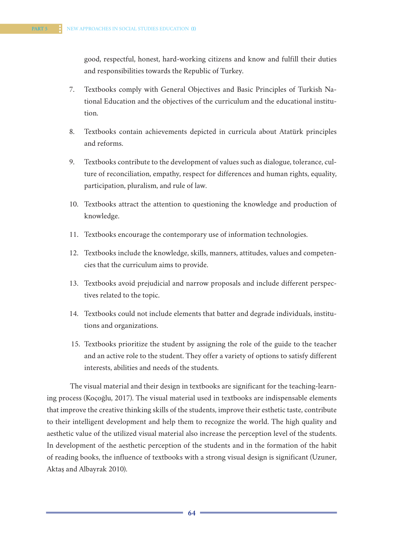good, respectful, honest, hard-working citizens and know and fulfill their duties and responsibilities towards the Republic of Turkey.

- 7. Textbooks comply with General Objectives and Basic Principles of Turkish National Education and the objectives of the curriculum and the educational institution.
- 8. Textbooks contain achievements depicted in curricula about Atatürk principles and reforms.
- 9. Textbooks contribute to the development of values such as dialogue, tolerance, culture of reconciliation, empathy, respect for differences and human rights, equality, participation, pluralism, and rule of law.
- 10. Textbooks attract the attention to questioning the knowledge and production of knowledge.
- 11. Textbooks encourage the contemporary use of information technologies.
- 12. Textbooks include the knowledge, skills, manners, attitudes, values and competencies that the curriculum aims to provide.
- 13. Textbooks avoid prejudicial and narrow proposals and include different perspectives related to the topic.
- 14. Textbooks could not include elements that batter and degrade individuals, institutions and organizations.
- 15. Textbooks prioritize the student by assigning the role of the guide to the teacher and an active role to the student. They offer a variety of options to satisfy different interests, abilities and needs of the students.

The visual material and their design in textbooks are significant for the teaching-learning process (Koçoğlu, 2017). The visual material used in textbooks are indispensable elements that improve the creative thinking skills of the students, improve their esthetic taste, contribute to their intelligent development and help them to recognize the world. The high quality and aesthetic value of the utilized visual material also increase the perception level of the students. In development of the aesthetic perception of the students and in the formation of the habit of reading books, the influence of textbooks with a strong visual design is significant (Uzuner, Aktaş and Albayrak 2010).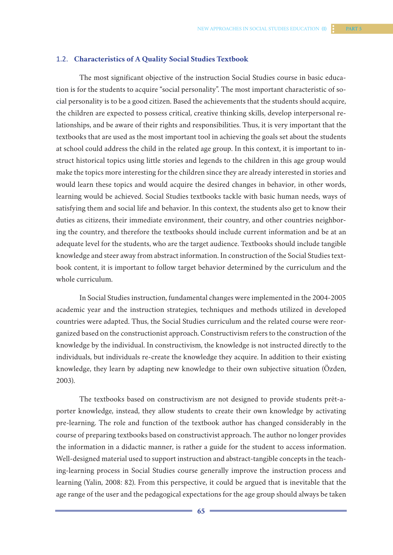### 1.2. **Characteristics of A Quality Social Studies Textbook**

The most significant objective of the instruction Social Studies course in basic education is for the students to acquire "social personality". The most important characteristic of social personality is to be a good citizen. Based the achievements that the students should acquire, the children are expected to possess critical, creative thinking skills, develop interpersonal relationships, and be aware of their rights and responsibilities. Thus, it is very important that the textbooks that are used as the most important tool in achieving the goals set about the students at school could address the child in the related age group. In this context, it is important to instruct historical topics using little stories and legends to the children in this age group would make the topics more interesting for the children since they are already interested in stories and would learn these topics and would acquire the desired changes in behavior, in other words, learning would be achieved. Social Studies textbooks tackle with basic human needs, ways of satisfying them and social life and behavior. In this context, the students also get to know their duties as citizens, their immediate environment, their country, and other countries neighboring the country, and therefore the textbooks should include current information and be at an adequate level for the students, who are the target audience. Textbooks should include tangible knowledge and steer away from abstract information. In construction of the Social Studies textbook content, it is important to follow target behavior determined by the curriculum and the whole curriculum.

In Social Studies instruction, fundamental changes were implemented in the 2004-2005 academic year and the instruction strategies, techniques and methods utilized in developed countries were adapted. Thus, the Social Studies curriculum and the related course were reorganized based on the constructionist approach. Constructivism refers to the construction of the knowledge by the individual. In constructivism, the knowledge is not instructed directly to the individuals, but individuals re-create the knowledge they acquire. In addition to their existing knowledge, they learn by adapting new knowledge to their own subjective situation (Özden, 2003).

The textbooks based on constructivism are not designed to provide students prêt-aporter knowledge, instead, they allow students to create their own knowledge by activating pre-learning. The role and function of the textbook author has changed considerably in the course of preparing textbooks based on constructivist approach. The author no longer provides the information in a didactic manner, is rather a guide for the student to access information. Well-designed material used to support instruction and abstract-tangible concepts in the teaching-learning process in Social Studies course generally improve the instruction process and learning (Yalin, 2008: 82). From this perspective, it could be argued that is inevitable that the age range of the user and the pedagogical expectations for the age group should always be taken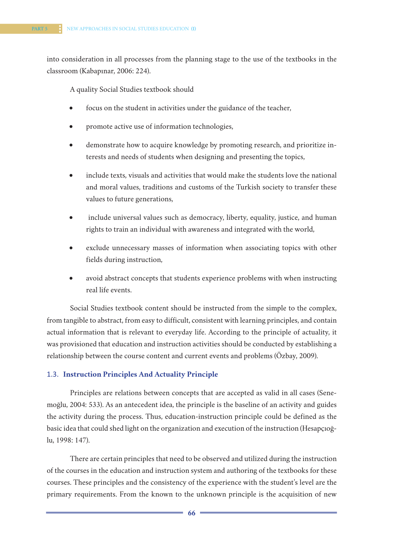into consideration in all processes from the planning stage to the use of the textbooks in the classroom (Kabapınar, 2006: 224).

A quality Social Studies textbook should

- focus on the student in activities under the guidance of the teacher,
- promote active use of information technologies,
- demonstrate how to acquire knowledge by promoting research, and prioritize interests and needs of students when designing and presenting the topics,
- include texts, visuals and activities that would make the students love the national and moral values, traditions and customs of the Turkish society to transfer these values to future generations,
- include universal values such as democracy, liberty, equality, justice, and human rights to train an individual with awareness and integrated with the world,
- exclude unnecessary masses of information when associating topics with other fields during instruction,
- avoid abstract concepts that students experience problems with when instructing real life events.

Social Studies textbook content should be instructed from the simple to the complex, from tangible to abstract, from easy to difficult, consistent with learning principles, and contain actual information that is relevant to everyday life. According to the principle of actuality, it was provisioned that education and instruction activities should be conducted by establishing a relationship between the course content and current events and problems (Özbay, 2009).

## 1.3. **Instruction Principles And Actuality Principle**

Principles are relations between concepts that are accepted as valid in all cases (Senemoğlu, 2004: 533). As an antecedent idea, the principle is the baseline of an activity and guides the activity during the process. Thus, education-instruction principle could be defined as the basic idea that could shed light on the organization and execution of the instruction (Hesapçıoğlu, 1998: 147).

There are certain principles that need to be observed and utilized during the instruction of the courses in the education and instruction system and authoring of the textbooks for these courses. These principles and the consistency of the experience with the student's level are the primary requirements. From the known to the unknown principle is the acquisition of new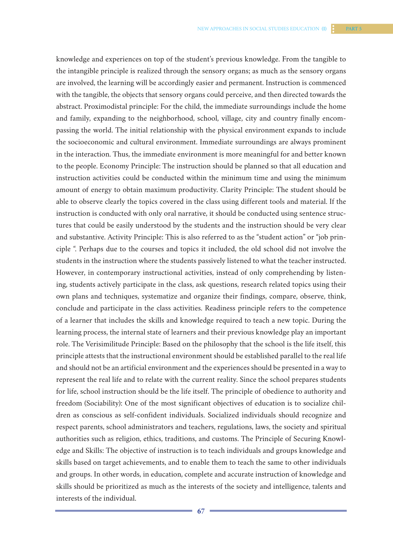knowledge and experiences on top of the student's previous knowledge. From the tangible to the intangible principle is realized through the sensory organs; as much as the sensory organs are involved, the learning will be accordingly easier and permanent. Instruction is commenced with the tangible, the objects that sensory organs could perceive, and then directed towards the abstract. Proximodistal principle: For the child, the immediate surroundings include the home and family, expanding to the neighborhood, school, village, city and country finally encompassing the world. The initial relationship with the physical environment expands to include the socioeconomic and cultural environment. Immediate surroundings are always prominent in the interaction. Thus, the immediate environment is more meaningful for and better known to the people. Economy Principle: The instruction should be planned so that all education and instruction activities could be conducted within the minimum time and using the minimum amount of energy to obtain maximum productivity. Clarity Principle: The student should be able to observe clearly the topics covered in the class using different tools and material. If the instruction is conducted with only oral narrative, it should be conducted using sentence structures that could be easily understood by the students and the instruction should be very clear and substantive. Activity Principle: This is also referred to as the "student action" or "job principle ". Perhaps due to the courses and topics it included, the old school did not involve the students in the instruction where the students passively listened to what the teacher instructed. However, in contemporary instructional activities, instead of only comprehending by listening, students actively participate in the class, ask questions, research related topics using their own plans and techniques, systematize and organize their findings, compare, observe, think, conclude and participate in the class activities. Readiness principle refers to the competence of a learner that includes the skills and knowledge required to teach a new topic. During the learning process, the internal state of learners and their previous knowledge play an important role. The Verisimilitude Principle: Based on the philosophy that the school is the life itself, this principle attests that the instructional environment should be established parallel to the real life and should not be an artificial environment and the experiences should be presented in a way to represent the real life and to relate with the current reality. Since the school prepares students for life, school instruction should be the life itself. The principle of obedience to authority and freedom (Sociability): One of the most significant objectives of education is to socialize children as conscious as self-confident individuals. Socialized individuals should recognize and respect parents, school administrators and teachers, regulations, laws, the society and spiritual authorities such as religion, ethics, traditions, and customs. The Principle of Securing Knowledge and Skills: The objective of instruction is to teach individuals and groups knowledge and skills based on target achievements, and to enable them to teach the same to other individuals and groups. In other words, in education, complete and accurate instruction of knowledge and skills should be prioritized as much as the interests of the society and intelligence, talents and interests of the individual.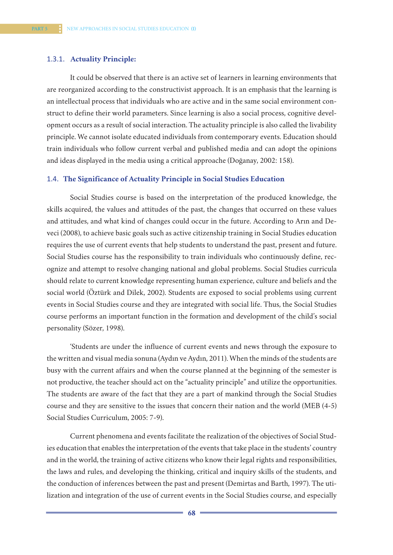### 1.3.1. **Actuality Principle:**

It could be observed that there is an active set of learners in learning environments that are reorganized according to the constructivist approach. It is an emphasis that the learning is an intellectual process that individuals who are active and in the same social environment construct to define their world parameters. Since learning is also a social process, cognitive development occurs as a result of social interaction. The actuality principle is also called the livability principle. We cannot isolate educated individuals from contemporary events. Education should train individuals who follow current verbal and published media and can adopt the opinions and ideas displayed in the media using a critical approache (Doğanay, 2002: 158).

### 1.4. **The Significance of Actuality Principle in Social Studies Education**

Social Studies course is based on the interpretation of the produced knowledge, the skills acquired, the values and attitudes of the past, the changes that occurred on these values and attitudes, and what kind of changes could occur in the future. According to Arın and Deveci (2008), to achieve basic goals such as active citizenship training in Social Studies education requires the use of current events that help students to understand the past, present and future. Social Studies course has the responsibility to train individuals who continuously define, recognize and attempt to resolve changing national and global problems. Social Studies curricula should relate to current knowledge representing human experience, culture and beliefs and the social world (Öztürk and Dilek, 2002). Students are exposed to social problems using current events in Social Studies course and they are integrated with social life. Thus, the Social Studies course performs an important function in the formation and development of the child's social personality (Sözer, 1998).

'Students are under the influence of current events and news through the exposure to the written and visual media sonuna (Aydın ve Aydın, 2011). When the minds of the students are busy with the current affairs and when the course planned at the beginning of the semester is not productive, the teacher should act on the "actuality principle" and utilize the opportunities. The students are aware of the fact that they are a part of mankind through the Social Studies course and they are sensitive to the issues that concern their nation and the world (MEB (4-5) Social Studies Curriculum, 2005: 7-9).

Current phenomena and events facilitate the realization of the objectives of Social Studies education that enables the interpretation of the events that take place in the students' country and in the world, the training of active citizens who know their legal rights and responsibilities, the laws and rules, and developing the thinking, critical and inquiry skills of the students, and the conduction of inferences between the past and present (Demirtas and Barth, 1997). The utilization and integration of the use of current events in the Social Studies course, and especially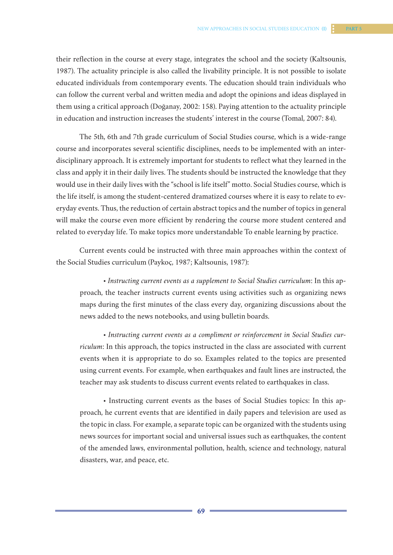their reflection in the course at every stage, integrates the school and the society (Kaltsounis, 1987). The actuality principle is also called the livability principle. It is not possible to isolate educated individuals from contemporary events. The education should train individuals who can follow the current verbal and written media and adopt the opinions and ideas displayed in them using a critical approach (Doğanay, 2002: 158). Paying attention to the actuality principle in education and instruction increases the students' interest in the course (Tomal, 2007: 84).

The 5th, 6th and 7th grade curriculum of Social Studies course, which is a wide-range course and incorporates several scientific disciplines, needs to be implemented with an interdisciplinary approach. It is extremely important for students to reflect what they learned in the class and apply it in their daily lives. The students should be instructed the knowledge that they would use in their daily lives with the "school is life itself" motto. Social Studies course, which is the life itself, is among the student-centered dramatized courses where it is easy to relate to everyday events. Thus, the reduction of certain abstract topics and the number of topics in general will make the course even more efficient by rendering the course more student centered and related to everyday life. To make topics more understandable To enable learning by practice.

Current events could be instructed with three main approaches within the context of the Social Studies curriculum (Paykoç, 1987; Kaltsounis, 1987):

• *Instructing current events as a supplement to Social Studies curriculum*: In this approach, the teacher instructs current events using activities such as organizing news maps during the first minutes of the class every day, organizing discussions about the news added to the news notebooks, and using bulletin boards.

• *Instructing current events as a compliment or reinforcement in Social Studies curriculum*: In this approach, the topics instructed in the class are associated with current events when it is appropriate to do so. Examples related to the topics are presented using current events. For example, when earthquakes and fault lines are instructed, the teacher may ask students to discuss current events related to earthquakes in class.

• Instructing current events as the bases of Social Studies topics: In this approach, he current events that are identified in daily papers and television are used as the topic in class. For example, a separate topic can be organized with the students using news sources for important social and universal issues such as earthquakes, the content of the amended laws, environmental pollution, health, science and technology, natural disasters, war, and peace, etc.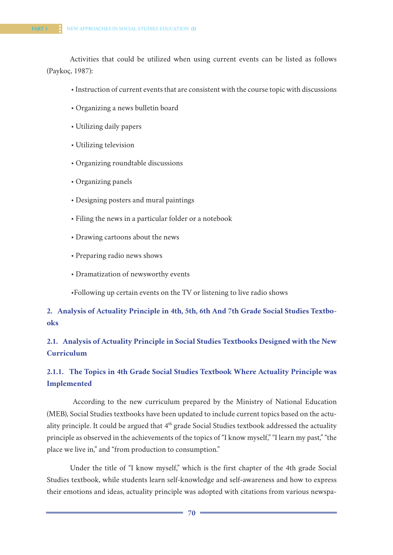Activities that could be utilized when using current events can be listed as follows (Paykoç, 1987):

- Instruction of current events that are consistent with the course topic with discussions
- Organizing a news bulletin board
- Utilizing daily papers
- Utilizing television
- Organizing roundtable discussions
- Organizing panels
- Designing posters and mural paintings
- Filing the news in a particular folder or a notebook
- Drawing cartoons about the news
- Preparing radio news shows
- Dramatization of newsworthy events
- •Following up certain events on the TV or listening to live radio shows

**2. Analysis of Actuality Principle in 4th, 5th, 6th And 7th Grade Social Studies Textbooks** 

**2.1. Analysis of Actuality Principle in Social Studies Textbooks Designed with the New Curriculum** 

# **2.1.1. The Topics in 4th Grade Social Studies Textbook Where Actuality Principle was Implemented**

 According to the new curriculum prepared by the Ministry of National Education (MEB), Social Studies textbooks have been updated to include current topics based on the actuality principle. It could be argued that 4<sup>th</sup> grade Social Studies textbook addressed the actuality principle as observed in the achievements of the topics of "I know myself," "I learn my past," "the place we live in," and "from production to consumption."

Under the title of "I know myself," which is the first chapter of the 4th grade Social Studies textbook, while students learn self-knowledge and self-awareness and how to express their emotions and ideas, actuality principle was adopted with citations from various newspa-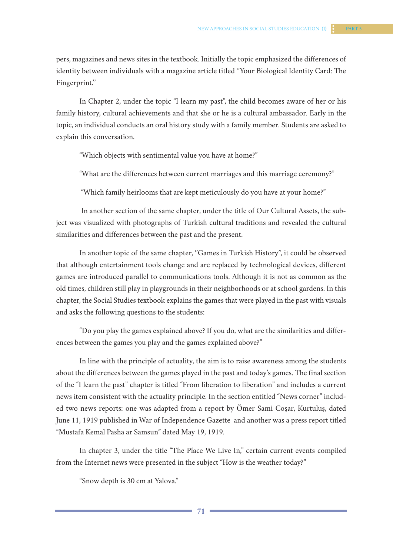In Chapter 2, under the topic "I learn my past", the child becomes aware of her or his family history, cultural achievements and that she or he is a cultural ambassador. Early in the topic, an individual conducts an oral history study with a family member. Students are asked to explain this conversation.

"Which objects with sentimental value you have at home?"

"What are the differences between current marriages and this marriage ceremony?"

"Which family heirlooms that are kept meticulously do you have at your home?"

 In another section of the same chapter, under the title of Our Cultural Assets, the subject was visualized with photographs of Turkish cultural traditions and revealed the cultural similarities and differences between the past and the present.

In another topic of the same chapter, ''Games in Turkish History'', it could be observed that although entertainment tools change and are replaced by technological devices, different games are introduced parallel to communications tools. Although it is not as common as the old times, children still play in playgrounds in their neighborhoods or at school gardens. In this chapter, the Social Studies textbook explains the games that were played in the past with visuals and asks the following questions to the students:

"Do you play the games explained above? If you do, what are the similarities and differences between the games you play and the games explained above?"

In line with the principle of actuality, the aim is to raise awareness among the students about the differences between the games played in the past and today's games. The final section of the "I learn the past" chapter is titled "From liberation to liberation" and includes a current news item consistent with the actuality principle. In the section entitled "News corner" included two news reports: one was adapted from a report by Ömer Sami Coşar, Kurtuluş, dated June 11, 1919 published in War of Independence Gazette and another was a press report titled "Mustafa Kemal Pasha ar Samsun" dated May 19, 1919.

In chapter 3, under the title "The Place We Live In," certain current events compiled from the Internet news were presented in the subject "How is the weather today?"

"Snow depth is 30 cm at Yalova."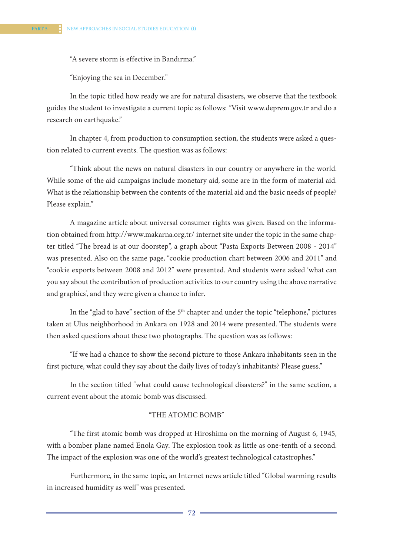"A severe storm is effective in Bandırma."

"Enjoying the sea in December."

In the topic titled how ready we are for natural disasters, we observe that the textbook guides the student to investigate a current topic as follows: ''Visit www.deprem.gov.tr and do a research on earthquake."

In chapter 4, from production to consumption section, the students were asked a question related to current events. The question was as follows:

"Think about the news on natural disasters in our country or anywhere in the world. While some of the aid campaigns include monetary aid, some are in the form of material aid. What is the relationship between the contents of the material aid and the basic needs of people? Please explain."

A magazine article about universal consumer rights was given. Based on the information obtained from http://www.makarna.org.tr/ internet site under the topic in the same chapter titled "The bread is at our doorstep", a graph about "Pasta Exports Between 2008 - 2014" was presented. Also on the same page, "cookie production chart between 2006 and 2011" and "cookie exports between 2008 and 2012" were presented. And students were asked 'what can you say about the contribution of production activities to our country using the above narrative and graphics', and they were given a chance to infer.

In the "glad to have" section of the  $5<sup>th</sup>$  chapter and under the topic "telephone," pictures taken at Ulus neighborhood in Ankara on 1928 and 2014 were presented. The students were then asked questions about these two photographs. The question was as follows:

"If we had a chance to show the second picture to those Ankara inhabitants seen in the first picture, what could they say about the daily lives of today's inhabitants? Please guess."

In the section titled "what could cause technological disasters?" in the same section, a current event about the atomic bomb was discussed.

### "THE ATOMIC BOMB"

"The first atomic bomb was dropped at Hiroshima on the morning of August 6, 1945, with a bomber plane named Enola Gay. The explosion took as little as one-tenth of a second. The impact of the explosion was one of the world's greatest technological catastrophes."

Furthermore, in the same topic, an Internet news article titled "Global warming results in increased humidity as well" was presented.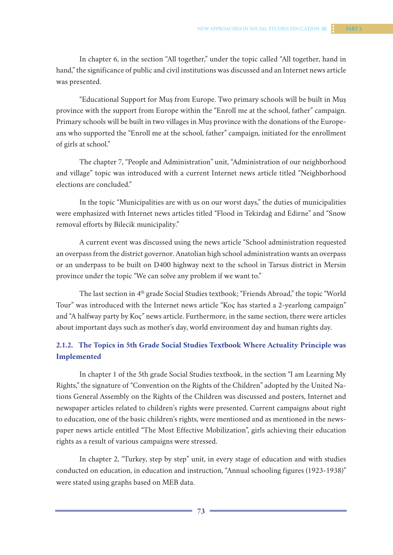In chapter 6, in the section "All together," under the topic called "All together, hand in hand," the significance of public and civil institutions was discussed and an Internet news article was presented.

"Educational Support for Muş from Europe. Two primary schools will be built in Muş province with the support from Europe within the "Enroll me at the school, father" campaign. Primary schools will be built in two villages in Muş province with the donations of the Europeans who supported the "Enroll me at the school, father" campaign, initiated for the enrollment of girls at school."

The chapter 7, "People and Administration" unit, "Administration of our neighborhood and village" topic was introduced with a current Internet news article titled "Neighborhood elections are concluded."

In the topic "Municipalities are with us on our worst days," the duties of municipalities were emphasized with Internet news articles titled "Flood in Tekirdağ and Edirne" and "Snow removal efforts by Bilecik municipality."

A current event was discussed using the news article "School administration requested an overpass from the district governor. Anatolian high school administration wants an overpass or an underpass to be built on D400 highway next to the school in Tarsus district in Mersin province under the topic "We can solve any problem if we want to."

The last section in 4th grade Social Studies textbook; "Friends Abroad," the topic "World Tour" was introduced with the Internet news article "Koç has started a 2-yearlong campaign" and "A halfway party by Koç" news article. Furthermore, in the same section, there were articles about important days such as mother's day, world environment day and human rights day.

## **2.1.2. The Topics in 5th Grade Social Studies Textbook Where Actuality Principle was Implemented**

In chapter 1 of the 5th grade Social Studies textbook, in the section "I am Learning My Rights," the signature of "Convention on the Rights of the Children" adopted by the United Nations General Assembly on the Rights of the Children was discussed and posters, Internet and newspaper articles related to children's rights were presented. Current campaigns about right to education, one of the basic children's rights, were mentioned and as mentioned in the newspaper news article entitled "The Most Effective Mobilization", girls achieving their education rights as a result of various campaigns were stressed.

In chapter 2, "Turkey, step by step" unit, in every stage of education and with studies conducted on education, in education and instruction, "Annual schooling figures (1923-1938)" were stated using graphs based on MEB data.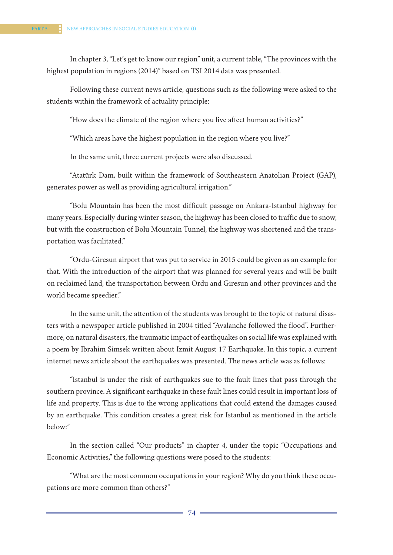In chapter 3, "Let's get to know our region" unit, a current table, "The provinces with the highest population in regions (2014)" based on TSI 2014 data was presented.

Following these current news article, questions such as the following were asked to the students within the framework of actuality principle:

"How does the climate of the region where you live affect human activities?"

"Which areas have the highest population in the region where you live?"

In the same unit, three current projects were also discussed.

"Atatürk Dam, built within the framework of Southeastern Anatolian Project (GAP), generates power as well as providing agricultural irrigation."

"Bolu Mountain has been the most difficult passage on Ankara-Istanbul highway for many years. Especially during winter season, the highway has been closed to traffic due to snow, but with the construction of Bolu Mountain Tunnel, the highway was shortened and the transportation was facilitated."

"Ordu-Giresun airport that was put to service in 2015 could be given as an example for that. With the introduction of the airport that was planned for several years and will be built on reclaimed land, the transportation between Ordu and Giresun and other provinces and the world became speedier."

In the same unit, the attention of the students was brought to the topic of natural disasters with a newspaper article published in 2004 titled "Avalanche followed the flood". Furthermore, on natural disasters, the traumatic impact of earthquakes on social life was explained with a poem by Ibrahim Simsek written about Izmit August 17 Earthquake. In this topic, a current internet news article about the earthquakes was presented. The news article was as follows:

"Istanbul is under the risk of earthquakes sue to the fault lines that pass through the southern province. A significant earthquake in these fault lines could result in important loss of life and property. This is due to the wrong applications that could extend the damages caused by an earthquake. This condition creates a great risk for Istanbul as mentioned in the article below:"

In the section called "Our products" in chapter 4, under the topic "Occupations and Economic Activities," the following questions were posed to the students:

"What are the most common occupations in your region? Why do you think these occupations are more common than others?"

**74 75**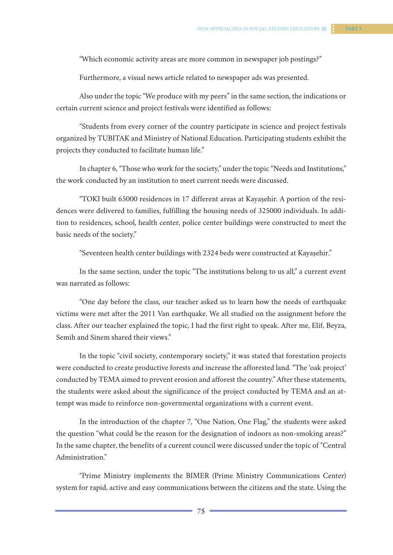"Which economic activity areas are more common in newspaper job postings?"

Furthermore, a visual news article related to newspaper ads was presented.

Also under the topic "We produce with my peers" in the same section, the indications or certain current science and project festivals were identified as follows:

"Students from every corner of the country participate in science and project festivals organized by TUBITAK and Ministry of National Education. Participating students exhibit the projects they conducted to facilitate human life."

In chapter 6, "Those who work for the society," under the topic "Needs and Institutions," the work conducted by an institution to meet current needs were discussed.

"TOKI built 65000 residences in 17 different areas at Kayaşehir. A portion of the residences were delivered to families, fulfilling the housing needs of 325000 individuals. In addition to residences, school, health center, police center buildings were constructed to meet the basic needs of the society."

"Seventeen health center buildings with 2324 beds were constructed at Kayaşehir."

In the same section, under the topic "The institutions belong to us all," a current event was narrated as follows:

"One day before the class, our teacher asked us to learn how the needs of earthquake victims were met after the 2011 Van earthquake. We all studied on the assignment before the class. After our teacher explained the topic, I had the first right to speak. After me, Elif, Beyza, Semih and Sinem shared their views."

In the topic "civil society, contemporary society," it was stated that forestation projects were conducted to create productive forests and increase the afforested land. "The 'oak project' conducted by TEMA aimed to prevent erosion and afforest the country." After these statements, the students were asked about the significance of the project conducted by TEMA and an attempt was made to reinforce non-governmental organizations with a current event.

In the introduction of the chapter 7, "One Nation, One Flag," the students were asked the question "what could be the reason for the designation of indoors as non-smoking areas?" In the same chapter, the benefits of a current council were discussed under the topic of "Central Administration."

"Prime Ministry implements the BIMER (Prime Ministry Communications Center) system for rapid, active and easy communications between the citizens and the state. Using the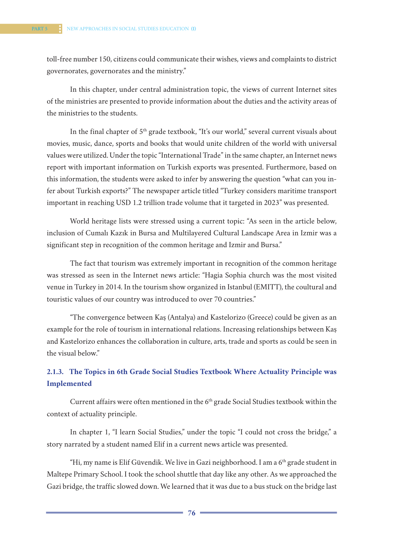toll-free number 150, citizens could communicate their wishes, views and complaints to district governorates, governorates and the ministry."

In this chapter, under central administration topic, the views of current Internet sites of the ministries are presented to provide information about the duties and the activity areas of the ministries to the students.

In the final chapter of 5<sup>th</sup> grade textbook, "It's our world," several current visuals about movies, music, dance, sports and books that would unite children of the world with universal values were utilized. Under the topic "International Trade" in the same chapter, an Internet news report with important information on Turkish exports was presented. Furthermore, based on this information, the students were asked to infer by answering the question "what can you infer about Turkish exports?" The newspaper article titled "Turkey considers maritime transport important in reaching USD 1.2 trillion trade volume that it targeted in 2023" was presented.

World heritage lists were stressed using a current topic: "As seen in the article below, inclusion of Cumalı Kazık in Bursa and Multilayered Cultural Landscape Area in Izmir was a significant step in recognition of the common heritage and Izmir and Bursa."

The fact that tourism was extremely important in recognition of the common heritage was stressed as seen in the Internet news article: "Hagia Sophia church was the most visited venue in Turkey in 2014. In the tourism show organized in Istanbul (EMITT), the coultural and touristic values of our country was introduced to over 70 countries."

"The convergence between Kaş (Antalya) and Kastelorizo (Greece) could be given as an example for the role of tourism in international relations. Increasing relationships between Kaş and Kastelorizo enhances the collaboration in culture, arts, trade and sports as could be seen in the visual below."

## **2.1.3. The Topics in 6th Grade Social Studies Textbook Where Actuality Principle was Implemented**

Current affairs were often mentioned in the  $6<sup>th</sup>$  grade Social Studies textbook within the context of actuality principle.

In chapter 1, "I learn Social Studies," under the topic "I could not cross the bridge," a story narrated by a student named Elif in a current news article was presented.

"Hi, my name is Elif Güvendik. We live in Gazi neighborhood. I am a 6<sup>th</sup> grade student in Maltepe Primary School. I took the school shuttle that day like any other. As we approached the Gazi bridge, the traffic slowed down. We learned that it was due to a bus stuck on the bridge last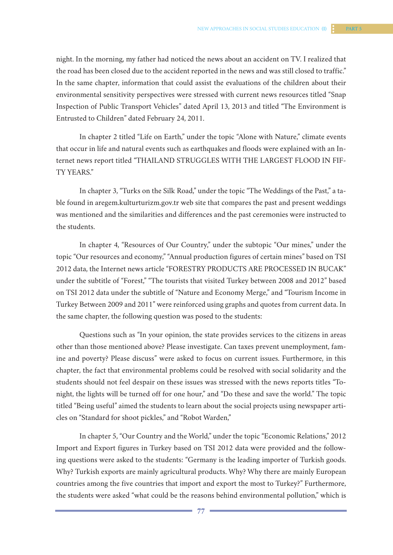night. In the morning, my father had noticed the news about an accident on TV. I realized that the road has been closed due to the accident reported in the news and was still closed to traffic." In the same chapter, information that could assist the evaluations of the children about their environmental sensitivity perspectives were stressed with current news resources titled "Snap Inspection of Public Transport Vehicles" dated April 13, 2013 and titled "The Environment is Entrusted to Children" dated February 24, 2011.

In chapter 2 titled "Life on Earth," under the topic "Alone with Nature," climate events that occur in life and natural events such as earthquakes and floods were explained with an Internet news report titled "THAILAND STRUGGLES WITH THE LARGEST FLOOD IN FIF-TY YEARS."

In chapter 3, "Turks on the Silk Road," under the topic "The Weddings of the Past," a table found in aregem.kulturturizm.gov.tr web site that compares the past and present weddings was mentioned and the similarities and differences and the past ceremonies were instructed to the students.

In chapter 4, "Resources of Our Country," under the subtopic "Our mines," under the topic "Our resources and economy," "Annual production figures of certain mines" based on TSI 2012 data, the Internet news article "FORESTRY PRODUCTS ARE PROCESSED IN BUCAK" under the subtitle of "Forest," "The tourists that visited Turkey between 2008 and 2012" based on TSI 2012 data under the subtitle of "Nature and Economy Merge," and "Tourism Income in Turkey Between 2009 and 2011" were reinforced using graphs and quotes from current data. In the same chapter, the following question was posed to the students:

Questions such as "In your opinion, the state provides services to the citizens in areas other than those mentioned above? Please investigate. Can taxes prevent unemployment, famine and poverty? Please discuss" were asked to focus on current issues. Furthermore, in this chapter, the fact that environmental problems could be resolved with social solidarity and the students should not feel despair on these issues was stressed with the news reports titles "Tonight, the lights will be turned off for one hour," and "Do these and save the world." The topic titled "Being useful" aimed the students to learn about the social projects using newspaper articles on "Standard for shoot pickles," and "Robot Warden,"

In chapter 5, "Our Country and the World," under the topic "Economic Relations," 2012 Import and Export figures in Turkey based on TSI 2012 data were provided and the following questions were asked to the students: "Germany is the leading importer of Turkish goods. Why? Turkish exports are mainly agricultural products. Why? Why there are mainly European countries among the five countries that import and export the most to Turkey?" Furthermore, the students were asked "what could be the reasons behind environmental pollution," which is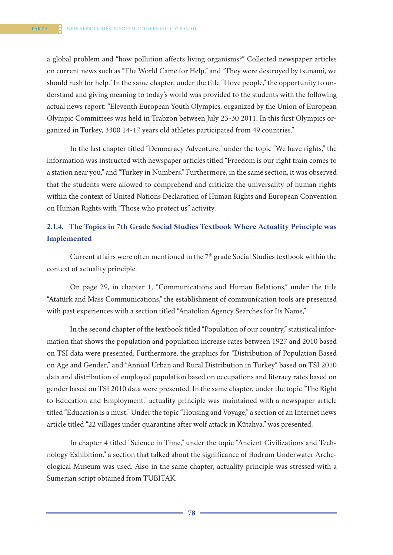a global problem and "how pollution affects living organisms?" Collected newspaper articles on current news such as "The World Came for Help," and "They were destroyed by tsunami, we should rush for help." In the same chapter, under the title "I love people," the opportunity to understand and giving meaning to today's world was provided to the students with the following actual news report: "Eleventh European Youth Olympics, organized by the Union of European Olympic Committees was held in Trabzon between July 23-30 2011. In this first Olympics organized in Turkey, 3300 14-17 years old athletes participated from 49 countries."

In the last chapter titled "Democracy Adventure," under the topic "We have rights," the information was instructed with newspaper articles titled "Freedom is our right train comes to a station near you," and "Turkey in Numbers." Furthermore, in the same section, it was observed that the students were allowed to comprehend and criticize the universality of human rights within the context of United Nations Declaration of Human Rights and European Convention on Human Rights with "Those who protect us" activity.

## **2.1.4. The Topics in 7th Grade Social Studies Textbook Where Actuality Principle was Implemented**

Current affairs were often mentioned in the  $7<sup>th</sup>$  grade Social Studies textbook within the context of actuality principle.

On page 29, in chapter 1, "Communications and Human Relations," under the title "Atatürk and Mass Communications," the establishment of communication tools are presented with past experiences with a section titled "Anatolian Agency Searches for Its Name,"

In the second chapter of the textbook titled "Population of our country," statistical information that shows the population and population increase rates between 1927 and 2010 based on TSI data were presented. Furthermore, the graphics for "Distribution of Population Based on Age and Gender," and "Annual Urban and Rural Distribution in Turkey" based on TSI 2010 data and distribution of employed population based on occupations and literacy rates based on gender based on TSI 2010 data were presented. In the same chapter, under the topic "The Right to Education and Employment," actuality principle was maintained with a newspaper article titled "Education is a must." Under the topic "Housing and Voyage," a section of an Internet news article titled "22 villages under quarantine after wolf attack in Kütahya," was presented.

In chapter 4 titled "Science in Time," under the topic "Ancient Civilizations and Technology Exhibition," a section that talked about the significance of Bodrum Underwater Archeological Museum was used. Also in the same chapter, actuality principle was stressed with a Sumerian script obtained from TUBITAK.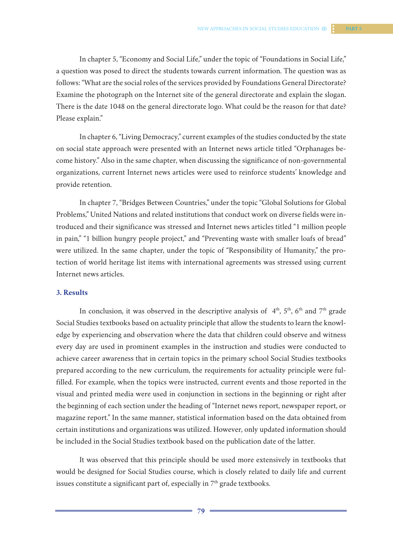In chapter 5, "Economy and Social Life," under the topic of "Foundations in Social Life," a question was posed to direct the students towards current information. The question was as follows: "What are the social roles of the services provided by Foundations General Directorate? Examine the photograph on the Internet site of the general directorate and explain the slogan. There is the date 1048 on the general directorate logo. What could be the reason for that date? Please explain."

In chapter 6, "Living Democracy," current examples of the studies conducted by the state on social state approach were presented with an Internet news article titled "Orphanages become history." Also in the same chapter, when discussing the significance of non-governmental organizations, current Internet news articles were used to reinforce students' knowledge and provide retention.

In chapter 7, "Bridges Between Countries," under the topic "Global Solutions for Global Problems," United Nations and related institutions that conduct work on diverse fields were introduced and their significance was stressed and Internet news articles titled "1 million people in pain," "1 billion hungry people project," and "Preventing waste with smaller loafs of bread" were utilized. In the same chapter, under the topic of "Responsibility of Humanity," the protection of world heritage list items with international agreements was stressed using current Internet news articles.

### **3. Results**

In conclusion, it was observed in the descriptive analysis of  $4<sup>th</sup>$ ,  $5<sup>th</sup>$ ,  $6<sup>th</sup>$  and  $7<sup>th</sup>$  grade Social Studies textbooks based on actuality principle that allow the students to learn the knowledge by experiencing and observation where the data that children could observe and witness every day are used in prominent examples in the instruction and studies were conducted to achieve career awareness that in certain topics in the primary school Social Studies textbooks prepared according to the new curriculum, the requirements for actuality principle were fulfilled. For example, when the topics were instructed, current events and those reported in the visual and printed media were used in conjunction in sections in the beginning or right after the beginning of each section under the heading of "Internet news report, newspaper report, or magazine report." In the same manner, statistical information based on the data obtained from certain institutions and organizations was utilized. However, only updated information should be included in the Social Studies textbook based on the publication date of the latter.

It was observed that this principle should be used more extensively in textbooks that would be designed for Social Studies course, which is closely related to daily life and current issues constitute a significant part of, especially in  $7<sup>th</sup>$  grade textbooks.

**78 79**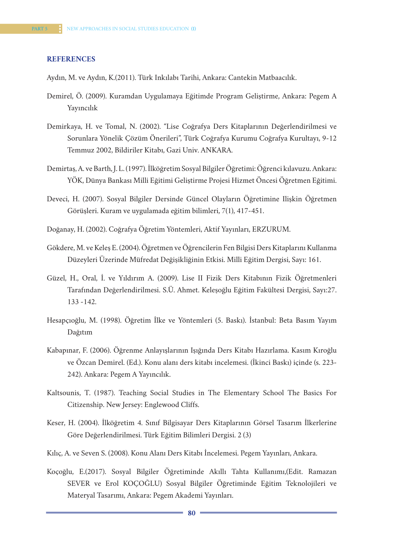#### **REFERENCES**

Aydın, M. ve Aydın, K.(2011). Türk Inkılabı Tarihi, Ankara: Cantekin Matbaacılık.

- Demirel, Ö. (2009). Kuramdan Uygulamaya Eğitimde Program Geliştirme, Ankara: Pegem A Yayıncılık
- Demirkaya, H. ve Tomal, N. (2002). "Lise Coğrafya Ders Kitaplarının Değerlendirilmesi ve Sorunlara Yönelik Çözüm Önerileri", Türk Coğrafya Kurumu Coğrafya Kurultayı, 9-12 Temmuz 2002, Bildiriler Kitabı, Gazi Univ. ANKARA.
- Demirtaş, A. ve Barth, J. L. (1997). İlköğretim Sosyal Bilgiler Öğretimi: Öğrenci kılavuzu. Ankara: YÖK, Dünya Bankası Milli Eğitimi Geliştirme Projesi Hizmet Öncesi Öğretmen Eğitimi.
- Deveci, H. (2007). Sosyal Bilgiler Dersinde Güncel Olayların Öğretimine Ilişkin Öğretmen Görüşleri. Kuram ve uygulamada eğitim bilimleri, 7(1), 417-451.
- Doğanay, H. (2002). Coğrafya Öğretim Yöntemleri, Aktif Yayınları, ERZURUM.
- Gökdere, M. ve Keleş E. (2004). Öğretmen ve Öğrencilerin Fen Bilgisi Ders Kitaplarını Kullanma Düzeyleri Üzerinde Müfredat Değişikliğinin Etkisi. Milli Eğitim Dergisi, Sayı: 161.
- Güzel, H., Oral, İ. ve Yıldırım A. (2009). Lise II Fizik Ders Kitabının Fizik Öğretmenleri Tarafından Değerlendirilmesi. S.Ü. Ahmet. Keleşoğlu Eğitim Fakültesi Dergisi, Sayı:27. 133 -142.
- Hesapçıoğlu, M. (1998). Öğretim İlke ve Yöntemleri (5. Baskı). İstanbul: Beta Basım Yayım Dağıtım
- Kabapınar, F. (2006). Öğrenme Anlayışlarının Işığında Ders Kitabı Hazırlama. Kasım Kıroğlu ve Özcan Demirel. (Ed.). Konu alanı ders kitabı incelemesi. (İkinci Baskı) içinde (s. 223- 242). Ankara: Pegem A Yayıncılık.
- Kaltsounis, T. (1987). Teaching Social Studies in The Elementary School The Basics For Citizenship. New Jersey: Englewood Cliffs.
- Keser, H. (2004). İlköğretim 4. Sınıf Bilgisayar Ders Kitaplarının Görsel Tasarım İlkerlerine Göre Değerlendirilmesi. Türk Eğitim Bilimleri Dergisi. 2 (3)
- Kılıç, A. ve Seven S. (2008). Konu Alanı Ders Kitabı İncelemesi. Pegem Yayınları, Ankara.
- Koçoğlu, E.(2017). Sosyal Bilgiler Öğretiminde Akıllı Tahta Kullanımı,(Edit. Ramazan SEVER ve Erol KOÇOĞLU) Sosyal Bilgiler Öğretiminde Eğitim Teknolojileri ve Materyal Tasarımı, Ankara: Pegem Akademi Yayınları.